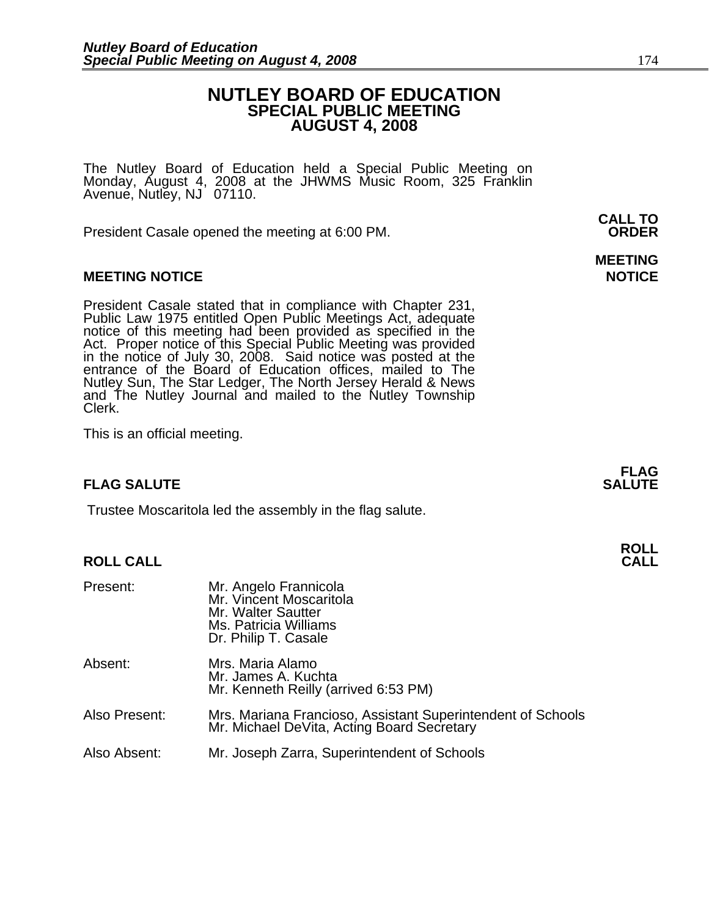### **NUTLEY BOARD OF EDUCATION SPECIAL PUBLIC MEETING AUGUST 4, 2008**

The Nutley Board of Education held a Special Public Meeting on<br>Monday, August 4, 2008 at the JHWMS Music Room, 325 Franklin Avenue, Nutley, NJ 07110.

 **CALL TO**  President Casale opened the meeting at 6:00 PM. **ORDER**

#### **MEETING NOTICE NOTICE AND RESERVE ASSESS**

President Casale stated that in compliance with Chapter 231,<br>Public Law 1975 entitled Open Public Meetings Act, adequate<br>notice of this meeting had been provided as specified in the<br>Act. Proper notice of this Special Publi Nutley Sun, The Star Ledger, The North Jersey Herald & News and The Nutley Journal and mailed to the Nutley Township Clerk.

This is an official meeting.

### **FLAG SALUTE** SALUTE SALUTE SALUTE SALUTE SALUTE

Trustee Moscaritola led the assembly in the flag salute.

## **ROLL ROLL CALL CALL**

| Present:      | Mr. Angelo Frannicola<br>Mr. Vincent Moscaritola<br>Mr. Walter Sautter<br>Ms. Patricia Williams<br>Dr. Philip T. Casale |
|---------------|-------------------------------------------------------------------------------------------------------------------------|
| Absent:       | Mrs. Maria Alamo<br>Mr. James A. Kuchta<br>Mr. Kenneth Reilly (arrived 6:53 PM)                                         |
| Also Present: | Mrs. Mariana Francioso, Assistant Superintendent of Schools<br>Mr. Michael DeVita, Acting Board Secretary               |
| Also Absent:  | Mr. Joseph Zarra, Superintendent of Schools                                                                             |

# **MEETING**

**FLAG**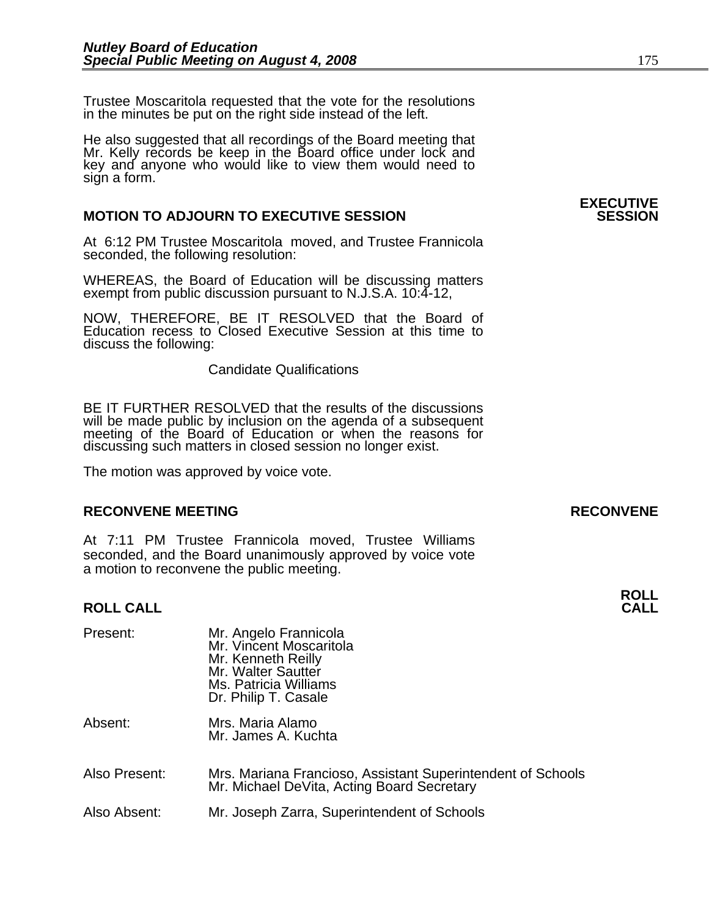Trustee Moscaritola requested that the vote for the resolutions in the minutes be put on the right side instead of the left.

He also suggested that all recordings of the Board meeting that Mr. Kelly records be keep in the Board office under lock and key and anyone who would like to view them would need to sign a form.

#### **MOTION TO ADJOURN TO EXECUTIVE SESSION**

At 6:12 PM Trustee Moscaritola moved, and Trustee Frannicola seconded, the following resolution:

WHEREAS, the Board of Education will be discussing matters exempt from public discussion pursuant to N.J.S.A. 10:4-12,

NOW, THEREFORE, BE IT RESOLVED that the Board of Education recess to Closed Executive Session at this time to discuss the following:

Candidate Qualifications

BE IT FURTHER RESOLVED that the results of the discussions will be made public by inclusion on the agenda of a subsequent meeting of the Board of Education or when the reasons for discussing such matters in closed session no longer exist.

The motion was approved by voice vote.

#### **RECONVENE MEETING RECONVENE**

At 7:11 PM Trustee Frannicola moved, Trustee Williams seconded, and the Board unanimously approved by voice vote a motion to reconvene the public meeting.

### **ROLL ROLL CALL CALL**

| Present:      | Mr. Angelo Frannicola<br>Mr. Vincent Moscaritola<br>Mr. Kenneth Reilly<br>Mr. Walter Sautter<br>Ms. Patricia Williams<br>Dr. Philip T. Casale |
|---------------|-----------------------------------------------------------------------------------------------------------------------------------------------|
| Absent:       | Mrs. Maria Alamo<br>Mr. James A. Kuchta                                                                                                       |
| Also Present: | Mrs. Mariana Francioso, Assistant Superintendent of Schools<br>Mr. Michael DeVita, Acting Board Secretary                                     |
| Also Absent:  | Mr. Joseph Zarra, Superintendent of Schools                                                                                                   |